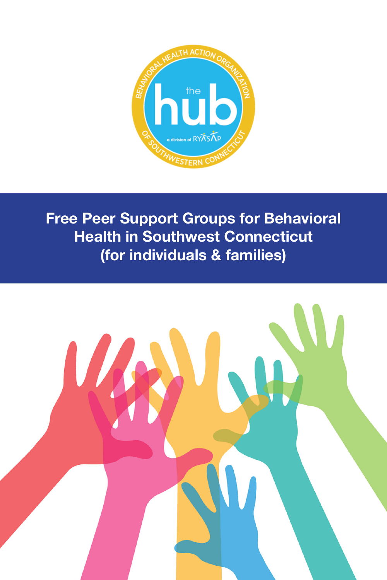

**Free Peer Support Groups for Behavioral Health in Southwest Connecticut (for individuals & families)**

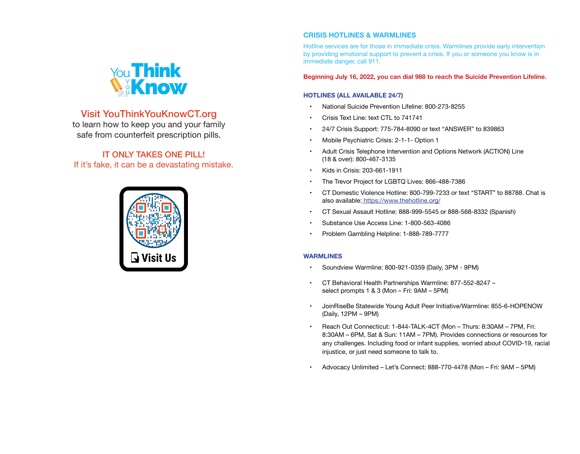

# Visit YouThinkYouKnowCT.org

to learn how to keep you and your family safe from counterfeit prescription pills.

# IT ONLY TAKES ONE PILL! If it's fake, it can be a devastating mistake.



## **CRISIS HOTLINES & WARMLINES**

Hotline services are for those in immediate crisis. Warmlines provide early intervention by providing emotional support to prevent a crisis. If you or someone you know is in immediate danger, call 911.

**Beginning July 16, 2022, you can dial 988 to reach the Suicide Prevention Lifeline.**

## **HOTLINES (ALL AVAILABLE 24/7)**

- National Suicide Prevention Lifeline: 800-273-8255
- Crisis Text Line: text CTL to 741741
- 24/7 Crisis Support: 775-784-8090 or text "ANSWER" to 839863
- Mobile Psychiatric Crisis: 2-1-1- Option 1
- Adult Crisis Telephone Intervention and Options Network (ACTION) Line (18 & over): 800-467-3135
- Kids in Crisis: 203-661-1911
- The Trevor Project for LGBTQ Lives: 866-488-7386
- • CT Domestic Violence Hotline: 800-799-7233 or text "START" to 88788. Chat is also available: [https://www.thehotline.org/]( https://www.thehotline.org/)
- • CT Sexual Assault Hotline: 888-999-5545 or 888-568-8332 (Spanish)
- Substance Use Access Line: 1-800-563-4086
- Problem Gambling Helpline: 1-888-789-7777

#### **WARMLINES**

- Soundview Warmline: 800-921-0359 (Daily, 3PM 9PM)
- • CT Behavioral Health Partnerships Warmline: 877-552-8247 select prompts 1 & 3 (Mon – Fri: 9AM – 5PM)
- JoinRiseBe Statewide Young Adult Peer Initiative/Warmline: 855-6-HOPENOW (Daily, 12PM – 9PM)
- • Reach Out Connecticut: 1-844-TALK-4CT (Mon Thurs: 8:30AM 7PM, Fri: 8:30AM – 6PM, Sat & Sun: 11AM – 7PM). Provides connections or resources for any challenges. Including food or infant supplies, worried about COVID-19, racial injustice, or just need someone to talk to.
- Advocacy Unlimited Let's Connect: 888-770-4478 (Mon Fri: 9AM 5PM)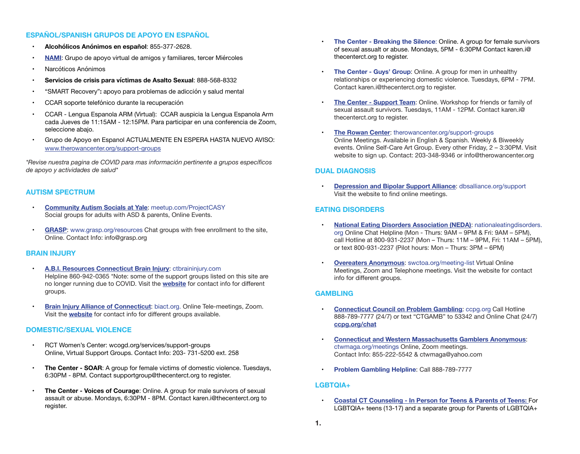## **ESPAÑOL/SPANISH GRUPOS DE APOYO EN ESPAÑOL**

- **• Alcohólicos Anónimos en español**: 855-377-2628.
- **[NAMI](https://www.namisouthwestct.org/online-support):** Grupo de apoyo virtual de amigos y familiares, tercer Miércoles
- [Narcóticos Anónimos](https://ctna.org/find-a- meeting/virtual-meetings/
)
- **Servicios de crisis para víctimas de Asalto Sexual: 888-568-8332**
- • ["SMART Recovery"](https://www.smartrecovery.org/community/calendar.php
)**:** apoyo para problemas de adicción y salud mental
- [CCAR soporte telefónico durante la recuperación](https://53001.callprocrm.com/238369/user_files/webpage/001/form2.htm
)
- [CCAR Lengua Espanola ARM \(Virtual\):](https://us02web.zoom.us/j/247269440) CCAR auspicia la Lengua Espanola Arm cada Jueves de 11:15AM - 12:15PM. Para participar en una conferencia de Zoom, seleccione abajo.
- Grupo de Apoyo en Espanol ACTUALMENTE EN ESPERA HASTA NUEVO AVISO: [www.therowancenter.org/support-groups](http://www.therowancenter.org/support-groups)

*\*Revise nuestra pagina de COVID para mas información pertinente a grupos específicos de apoyo y actividades de salud\** 

#### **AUTISM SPECTRUM**

- • **[Community Autism Socials at Yale](https://www.meetup.com/ProjectCASY/)**: meetup.com/ProjectCASY Social groups for adults with ASD & parents, Online Events.
- • **[GRASP](https://grasp.org/resources)**: www.grasp.org/resources Chat groups with free enrollment to the site, Online. Contact Info: info@grasp.org

#### **BRAIN INJURY**

- **[A.B.I. Resources Connecticut Brain Injury](http://www.ctbraininjury.com): ctbraininiury.com** Helpline 860-942-0365 \*Note: some of the support groups listed on this site are no longer running due to COVID. Visit the **[website](https://www.ctbraininjury.com/connecticut-brain-injury-groups-ct )** for contact info for different groups.
- • **[Brain Injury Alliance of Connecticut](http://www.biact.org)**: biact.org. Online Tele-meetings, Zoom. Visit the **[website](http://www.biact.org/assets/uploads/files/Support%20Groups/November_Update_%20SG%20COVID19(1).pdf)** for contact info for different groups available.

### **DOMESTIC/SEXUAL VIOLENCE**

- [RCT Women's Center:](https://wcogd.org/services/support-groups/ ) wcogd.org/services/support-groups Online, Virtual Support Groups. Contact Info: 203- 731-5200 ext. 258
- **The Center SOAR:** A group for female victims of domestic violence. Tuesdays, 6:30PM - 8PM. Contact supportgroup@thecenterct.org to register.
- **The Center Voices of Courage:** Online. A group for male survivors of sexual assault or abuse. Mondays, 6:30PM - 8PM. Contact karen.i@thecenterct.org to register.
- **• The Center Breaking the Silence**: Online. A group for female survivors of sexual assualt or abuse. Mondays, 5PM - 6:30PM Contact karen.i@ thecenterct.org to register.
- **The Center Guys' Group:** Online. A group for men in unhealthy relationships or experiencing domestic violence. Tuesdays, 6PM - 7PM. Contact karen.i@thecenterct.org to register.
- • **The Center Support Team**: Online. Workshop for friends or family of sexual assault survivors. Tuesdays, 11AM - 12PM. Contact karen.i@ thecenterct.org to register.
- **[The Rowan Center](https://therowancenter.org/support-groups/):** therowancenter.org/support-groups Online Meetings. Available in English & Spanish. Weekly & Biweekly events. Online Self-Care Art Group. Every other Friday, 2 – 3:30PM. Visit website to sign up. Contact: 203-348-9346 or info@therowancenter.org

### **DUAL DIAGNOSIS**

**[Depression and Bipolar Support Alliance](https://www.supportgroupscentral.com/groups_detail.cfm?cid=18): dbsalliance.org/support** Visit the website to find online meetings.

### **EATING DISORDERS**

- **[National Eating Disorders Association \(NEDA\)](https://www.nationaleatingdisorders.org/help-support/contact-helpline): nationaleatingdisorders.** org Online Chat Helpline (Mon - Thurs: 9AM – 9PM & Fri: 9AM – 5PM), call Hotline at 800-931-2237 (Mon – Thurs: 11M – 9PM, Fri: 11AM – 5PM), or text 800-931-2237 (Pilot hours: Mon – Thurs: 3PM – 6PM)
- **[Overeaters Anonymous](https://www.swctoa.org/meeting-list.html): swctoa.org/meeting-list Virtual Online** Meetings, Zoom and Telephone meetings. Visit the website for contact info for different groups.

### **GAMBLING**

- **[Connecticut Council on Problem Gambling](https://ccpg.org/): ccpg.org Call Hotline** 888-789-7777 (24/7) or text "CTGAMB" to 53342 and Online Chat (24/7) **[ccpg.org/chat](http://ccpg.org/chat)**
- **[Connecticut and Western Massachusetts Gamblers Anonymous](https://ctwmaga.org/meetings):** ctwmaga.org/meetings Online, Zoom meetings. Contact Info: 855-222-5542 & ctwmaga@yahoo.com
- **Problem Gambling Helpline: Call 888-789-7777**

### **LGBTQIA+**

**[Coastal CT Counseling - In Person for Teens & Parents of Teens](https://www.coastalconnecticutcounseling.com/group-therapy ): For** LGBTQIA+ teens (13-17) and a separate group for Parents of LGBTQIA+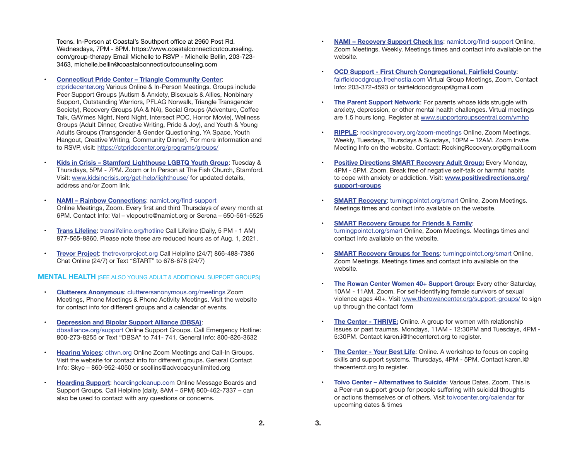Teens. In-Person at Coastal's Southport office at 2960 Post Rd. Wednesdays, 7PM - 8PM. https://www.coastalconnecticutcounseling. com/group-therapy Email Michelle to RSVP - Michelle Bellin, 203-723- 3463, michelle.bellin@coastalconnecticutcounseling.com

#### **Connecticut Pride Center - Triangle Community Center:**

ctpridecenter.org Various Online & In-Person Meetings. Groups include Peer Support Groups (Autism & Anxiety, Bisexuals & Allies, Nonbinary Support, Outstanding Warriors, PFLAG Norwalk, Triangle Transgender Society), Recovery Groups (AA & NA), Social Groups (Adventure, Coffee Talk, GAYmes Night, Nerd Night, Intersect POC, Horror Movie), Wellness Groups (Adult Dinner, Creative Writing, Pride & Joy), and Youth & Young Adults Groups (Transgender & Gender Questioning, YA Space, Youth Hangout, Creative Writing, Community Dinner). For more information and to RSVP, visit: [https://ctpridecenter.org/programs/groups/](https://ctpridecenter.org/programs/groups/ )

**Kids in Crisis - Stamford Lighthouse LGBTQ Youth Group:** Tuesday & Thursdays, 5PM - 7PM. Zoom or In Person at The Fish Church, Stamford. Visit: [www.kidsincrisis.org/get-help/lighthouse/](https://www.kidsincrisis.org/get-help/lighthouse/) for updated details, address and/or Zoom link.

**NAMI - Rainbow Connections: namict.org/find-support** Online Meetings, Zoom. Every first and third Thursdays of every month at 6PM. Contact Info: Val – vlepoutre@namict.org or Serena – 650-561-5525

- **[Trans Lifeline](https://translifeline.org/hotline/):** translifeline.org/hotline Call Lifeline (Daily, 5 PM 1 AM) 877-565-8860. Please note these are reduced hours as of Aug. 1, 2021.
- • **[Trevor Project](https://www.thetrevorproject.org/ )**: thetrevorproject.org Call Helpline (24/7) 866-488-7386 Chat Online (24/7) or Text "START" to 678-678 (24/7)

#### **MENTAL HEALTH** (SEE ALSO YOUNG ADULT & ADDITIONAL SUPPORT GROUPS)

- **[Clutterers Anonymous](https://clutterersanonymous.org/meetings/telephone-meetings/): clutterersanonymous.org/meetings Zoom** Meetings, Phone Meetings & Phone Activity Meetings. Visit the website for contact info for different groups and a calendar of events.
- • **[Depression and Bipolar Support Alliance \(DBSA\)](https://www.dbsalliance.org/support/chapters-and-support- groups/online-support-groups/ )**: dbsalliance.org/support Online Support Groups. Call Emergency Hotline: 800-273-8255 or Text "DBSA" to 741- 741. General Info: 800-826-3632
- **[Hearing Voices](https://www.cthvn.org/): cthyn.org Online Zoom Meetings and Call-In Groups.** Visit the website for contact info for different groups. General Contact Info: Skye – 860-952-4050 or scollins@advocacyunlimited.org
- **[Hoarding Support](https://hoardingcleanup.com/hoarding_help_home):** hoardingcleanup.com Online Message Boards and Support Groups. Call Helpline (daily, 8AM – 5PM) 800-462-7337 – can also be used to contact with any questions or concerns.
- • **[NAMI Recovery Support Check Ins](https://namict.org/find-support/support-groups/)**: namict.org/find-support Online, Zoom Meetings. Weekly. Meetings times and contact info available on the website.
- • **OCD Support - First Church [Congregational,](http://fairfieldocdgroup.freehostia.com/) Fairfield County**: fairfieldocdgroup.freehostia.com Virtual Group Meetings, Zoom. Contact Info: 203-372-4593 or fairfielddocdgroup@gmail.com
- **[The Parent Support Network](http://www.supportgroupscentral.com/ymhp):** For parents whose kids struggle with anxiety, depression, or other mental health challenges. Virtual meetings are 1.5 hours long. Register at [www.supportgroupscentral.com/ymhp](http://www.supportgroupscentral.com/ymhp)
- **[RIPPLE](http://rockingrecovery.org/zoom-meetings/):** rockingrecovery.org/zoom-meetings Online, Zoom Meetings. Weekly, Tuesdays, Thursdays & Sundays, 10PM – 12AM. Zoom Invite Meeting Info on the website. Contact: RockingRecovery.org@gmail.com
- • **[Positive Directions SMART Recovery Adult Group:](www.positivedirections.org/support-groups
)** Every Monday, 4PM - 5PM. Zoom. Break free of negative self-talk or harmful habits to cope with anxiety or addiction. Visit: **[www.positivedirections.org/](http://www.positivedirections.org/support-groups ) [support-groups](http://www.positivedirections.org/support-groups )**
- • **[SMART Recovery](https://turningpointct.org/smart/)**: turningpointct.org/smart Online, Zoom Meetings. Meetings times and contact info available on the website.
- • **[SMART Recovery Groups for Friends & Family](https://turningpointct.org/smart/)**: turningpointct.org/smart Online, Zoom Meetings. Meetings times and contact info available on the website.
- • **[SMART Recovery Groups for Teens](https://turningpointct.org/smart/)**: turningpointct.org/smart Online, Zoom Meetings. Meetings times and contact info available on the website.
- **The Rowan Center Women 40+ Support Group:** Every other Saturday, 10AM - 11AM. Zoom. For self-identifying female survivors of sexual violence ages 40+. Visit [www.therowancenter.org/support-groups/](http://www.therowancenter.org/support-groups/) to sign up through the contact form
- **The Center THRIVE:** Online. A group for women with relationship issues or past traumas. Mondays, 11AM - 12:30PM and Tuesdays, 4PM - 5:30PM. Contact karen.i@thecenterct.org to register.
- **The Center Your Best Life:** Online. A workshop to focus on coping skills and support systems. Thursdays, 4PM - 5PM. Contact karen.i@ thecenterct.org to register.
- • **[Toivo Center Alternatives to Suicide](http://toivocenter.org/calendar/)**: Various Dates. Zoom. This is a Peer-run support group for people suffering with suicidal thoughts or actions themselves or of others. Visit toivocenter.org/calendar for upcoming dates & times

**3.**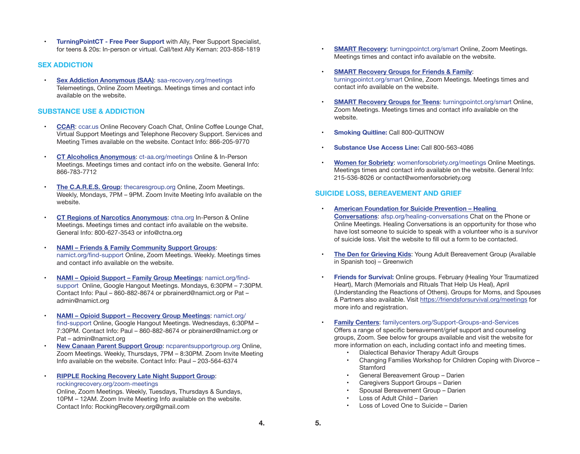**• TurningPointCT - Free Peer Support** with Ally, Peer Support Specialist, for teens & 20s: In-person or virtual. Call/text Ally Kernan: 203-858-1819

#### **SEX ADDICTION**

**[Sex Addiction Anonymous \(SAA\)](https://saa-recovery.org/meetings/): saa-recovery.org/meetings** Telemeetings, Online Zoom Meetings. Meetings times and contact info available on the website.

#### **SUBSTANCE USE & ADDICTION**

- **[CCAR](https://ccar.us/):** ccar.us Online Recovery Coach Chat, Online Coffee Lounge Chat, Virtual Support Meetings and Telephone Recovery Support. Services and Meeting Times available on the website. Contact Info: 866-205-9770
- • **[CT Alcoholics Anonymous](https://ct-aa.org/meetings/?tsml-day=any&tsml-query=bridgeport)**: ct-aa.org/meetings Online & In-Person Meetings. Meetings times and contact info on the website. General Info: 866-783-7712
- **[The C.A.R.E.S. Group](http://www.thecaresgroup.org/): thecaresgroup.org Online, Zoom Meetings.** Weekly, Mondays, 7PM – 9PM. Zoom Invite Meeting Info available on the website.
- **[CT Regions of Narcotics Anonymous](https://ctna.org/):** ctna.org In-Person & Online Meetings. Meetings times and contact info available on the website. General Info: 800-627-3543 or info@ctna.org
- **[NAMI Friends & Family Community Support Groups](https://namict.org/find-support/support-groups/):** namict.org/find-support Online, Zoom Meetings. Weekly. Meetings times and contact info available on the website.
- **NAMI Opioid Support Family Group Meetings: namict.org/find**support Online, Google Hangout Meetings. Mondays, 6:30PM – 7:30PM. Contact Info: Paul – 860-882-8674 or pbrainerd@namict.org or Pat – admin@namict.org
- **NAMI Opioid Support Recovery Group Meetings: namict.org/** find-support Online, Google Hangout Meetings. Wednesdays, 6:30PM – 7:30PM. Contact Info: Paul – 860-882-8674 or pbrainerd@namict.org or Pat – admin@namict.org
- **[New Canaan Parent Support Group](http://ncparentsupportgroup.org/ ): ncparentsupportgroup.org Online.** Zoom Meetings. Weekly, Thursdays, 7PM – 8:30PM. Zoom Invite Meeting Info available on the website. Contact Info: Paul – 203-564-6374
- **RIPPLE Rocking Recovery Late Night Support Group:** rockingrecovery.org/zoom-meetings

Online, Zoom Meetings. Weekly, Tuesdays, Thursdays & Sundays, 10PM – 12AM. Zoom Invite Meeting Info available on the website. Contact Info: RockingRecovery.org@gmail.com

- • **[SMART Recovery](https://turningpointct.org/smart/)**: turningpointct.org/smart Online, Zoom Meetings. Meetings times and contact info available on the website.
- • **[SMART Recovery Groups for Friends & Family](https://turningpointct.org/smart/)**: turningpointct.org/smart Online, Zoom Meetings. Meetings times and contact info available on the website.
- • **[SMART Recovery Groups for Teens](https://turningpointct.org/smart/)**: turningpointct.org/smart Online, Zoom Meetings. Meetings times and contact info available on the website.
- **Smoking Quitline: Call 800-QUITNOW**
- **Substance Use Access Line: Call 800-563-4086**
- • **[Women for Sobriety](https://womenforsobriety.org/meetings/)**: womenforsobriety.org/meetings Online Meetings. Meetings times and contact info available on the website. General Info: 215-536-8026 or contact@womenforsobriety.org

### **SUICIDE LOSS, BEREAVEMENT AND GRIEF**

- **American Foundation for Suicide Prevention Healing [Conversations](https://afsp.org/healing-conversations)**: afsp.org/healing-conversations Chat on the Phone or Online Meetings. Healing Conversations is an opportunity for those who have lost someone to suicide to speak with a volunteer who is a survivor of suicide loss. Visit the website to fill out a form to be contacted.
- **[The Den for Grieving Kids](https://www.familycenters.org/The-Den-for-Grieving-Kids): Young Adult Bereavement Group (Available**) in Spanish too) – Greenwich
- **Friends for Survival:** Online groups. February (Healing Your Traumatized Heart), March (Memorials and Rituals That Help Us Heal), April (Understanding the Reactions of Others). Groups for Moms, and Spouses & Partners also available. Visit <https://friendsforsurvival.org/meetings>for more info and registration.
- **[Family Centers](https://familycenters.org/Support-Groups-and-Services):** familycenters.org/Support-Groups-and-Services Offers a range of specific bereavement/grief support and counseling groups, Zoom. See below for groups available and visit the website for more information on each, including contact info and meeting times.
	- **Dialectical Behavior Therapy Adult Groups**
	- Changing Families Workshop for Children Coping with Divorce **Stamford**
	- General Bereavement Group Darien
	- Caregivers Support Groups Darien
	- Spousal Bereavement Group Darien
	- • Loss of Adult Child Darien
	- • Loss of Loved One to Suicide Darien

**5.**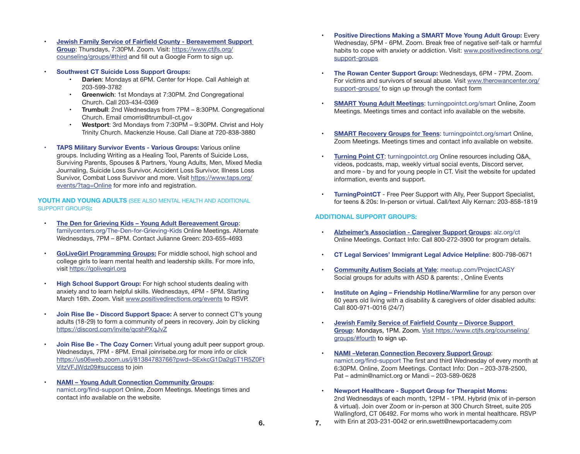- • **Jewish Family Service of Fairfield County - [Bereavement](https://www.ctjfs.org/counseling/groups/#third) Support [Group](https://www.ctjfs.org/counseling/groups/#third)**: Thursdays, 7:30PM. Zoom. Visit: [https://www.ctjfs.org/](https://www.ctjfs.org/counseling/groups/#third) [counseling/groups/#third](https://www.ctjfs.org/counseling/groups/#third) and fill out a Google Form to sign up.
	- **Southwest CT Suicide Loss Support Groups:** 
		- **Darien: Mondays at 6PM. Center for Hope. Call Ashleigh at** 203-599-3782
		- **• Greenwich**: 1st Mondays at 7:30PM. 2nd Congregational Church. Call 203-434-0369
		- **Trumbull:** 2nd Wednesdays from 7PM 8:30PM. Congregational Church. Email cmorris@trumbull-ct.gov
		- **• Westport**: 3rd Mondays from 7:30PM 9:30PM. Christ and Holy Trinity Church. Mackenzie House. Call Diane at 720-838-3880
- **TAPS Military Survivor Events Various Groups: Various online** groups. Including Writing as a Healing Tool, Parents of Suicide Loss, Surviving Parents, Spouses & Partners, Young Adults, Men, Mixed Media Journaling, Suicide Loss Survivor, Accident Loss Survivor, Illness Loss Survivor, Combat Loss Survivor and more. Visit [https://www.taps.org/](https://www.taps.org/events/?tag=Online) [events/?tag=Online](https://www.taps.org/events/?tag=Online) for more info and registration.

**YOUTH AND YOUNG ADULTS** (SEE ALSO MENTAL HEALTH AND ADDITIONAL SUPPORT GROUPS)**:**

- **The Den for Grieving Kids Young Adult Bereavement Group:** familycenters.org/The-Den-for-Grieving-Kids Online Meetings. Alternate Wednesdays, 7PM – 8PM. Contact Julianne Green: 203-655-4693
- **[GoLiveGirl](https://golivegirl.org) Programming Groups:** For middle school, high school and college girls to learn mental health and leadership skills. For more info, visit [https://golivegirl.org](https://golivegirl.org/)
- **High School Support Group:** For high school students dealing with anxiety and to learn helpful skills. Wednesdays, 4PM - 5PM. Starting March 16th. Zoom. Visit [www.positivedirections.org/events](http://www.positivedirections.org/events) to RSVP.
- **Join Rise Be Discord Support Space:** A server to connect CT's young adults (18-29) to form a community of peers in recovery. Join by clicking <https://discord.com/invite/qcshPXqJvZ>
- **Join Rise Be The Cozy Corner:** Virtual young adult peer support group. Wednesdays, 7PM - 8PM. Email joinrisebe.org for more info or click [https://us06web.zoom.us/j/81384783766?pwd=SExkcG1Da2g5T1R5Z0Ft](https://us06web.zoom.us/j/81384783766?pwd=SExkcG1Da2g5T1R5Z0FtVitzVFJWdz09#success) [VitzVFJWdz09#success](https://us06web.zoom.us/j/81384783766?pwd=SExkcG1Da2g5T1R5Z0FtVitzVFJWdz09#success) to join
- **NAMI Young Adult Connection Community Groups:** namict.org/find-support Online, Zoom Meetings. Meetings times and contact info available on the website.
- **Positive Directions Making a SMART Move Young Adult Group:** Every Wednesday, 5PM - 6PM. Zoom. Break free of negative self-talk or harmful habits to cope with anxiety or addiction. Visit: [www.positivedirections.org/](http://www.positivedirections.org/support-groups) [support-groups](http://www.positivedirections.org/support-groups)
- **The Rowan Center Support Group: Wednesdays, 6PM 7PM. Zoom.** For victims and survivors of sexual abuse. Visit [www.therowancenter.org/](http://www.therowancenter.org/support-groups/) [support-groups/](http://www.therowancenter.org/support-groups/) to sign up through the contact form
- **[SMART Young Adult Meetings](https://turningpointct.org/smart/): turningpointct.org/smart Online, Zoom** Meetings. Meetings times and contact info available on the website.
- • **[SMART Recovery Groups for Teens](https://turningpointct.org/smart/)**: turningpointct.org/smart Online, Zoom Meetings. Meetings times and contact info available on website.
- • **[Turning Point CT](https://turningpointct.org/ )**: turningpointct.org Online resources including Q&A, videos, podcasts, map, weekly virtual social events, Discord server, and more - by and for young people in CT. Visit the website for updated information, events and support.
- **TurningPointCT** Free Peer Support with Ally, Peer Support Specialist, for teens & 20s: In-person or virtual. Call/text Ally Kernan: 203-858-1819

#### **ADDITIONAL SUPPORT GROUPS:**

- **[Alzheimer's Association Caregiver Support Groups](https://www.alz.org/ct): alz.org/ct** Online Meetings. Contact Info: Call 800-272-3900 for program details.
- **• CT Legal Services' Immigrant Legal Advice Helpline**: 800-798-0671
- • **[Community Autism Socials at Yale](https://www.meetup.com/ProjectCASY/)**: meetup.com/ProjectCASY Social groups for adults with ASD & parents: , Online Events
- **• Institute on Aging Friendship Hotline/Warmline** for any person over 60 years old living with a disability & caregivers of older disabled adults: Call 800-971-0016 (24/7)
- • **Jewish Family Service of [Fairfield](https://www.ctjfs.org/counseling/group-counseling-and-support-group/#third) County – Divorce Support [Group](https://www.ctjfs.org/counseling/group-counseling-and-support-group/#third)**: Mondays, 1PM. Zoom. [Visit https://www.ctjfs.org/counseling/](Visit https://www.ctjfs.org/counseling/groups/#fourth) [groups/#fourth](Visit https://www.ctjfs.org/counseling/groups/#fourth) to sign up.
- • **[NAMI –Veteran Connection Recovery Support Group](https://namict.org/find-support/support-groups/)**: namict.org/find-support The first and third Wednesday of every month at 6:30PM. Online, Zoom Meetings. Contact Info: Don – 203-378-2500, Pat – admin@namict.org or Mandi – 203-589-0628
- **Newport Healthcare Support Group for Therapist Moms:** 2nd Wednesdays of each month, 12PM - 1PM. Hybrid (mix of in-person & virtual). Join over Zoom or in-person at 300 Church Street, suite 205 Wallingford, CT 06492. For moms who work in mental healthcare. RSVP **7.** with Erin at 203-231-0042 or erin.swett@newportacademy.com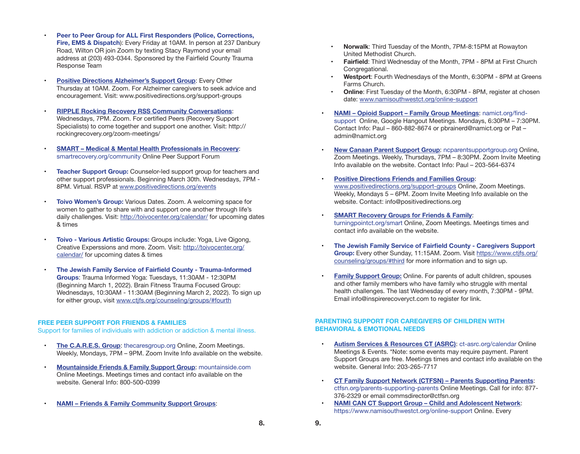- **Peer to Peer Group for ALL First Responders (Police, Corrections, Fire, EMS & Dispatch**): Every Friday at 10AM. In person at 237 Danbury Road, Wilton OR join Zoom by texting Stacy Raymond your email address at (203) 493-0344. Sponsored by the Fairfield County Trauma Response Team
- **[Positive Directions Alzheimer's Support Group](https://www.positivedirections.org/support-groups): Every Other** Thursday at 10AM. Zoom. For Alzheimer caregivers to seek advice and encouragement. Visit: www.positivedirections.org/support-groups
- **[RIPPLE Rocking Recovery RSS Community Conversations](http://rockingrecovery.org/zoom-meetings/
):** Wednesdays, 7PM. Zoom. For certified Peers (Recovery Support Specialists) to come together and support one another. Visit: http:// rockingrecovery.org/zoom-meetings/
- • **[SMART Medical & Mental Health Professionals in Recovery](https://www.smartrecovery.org/community/forums/31- Medical-amp-Mental-Health-Professionals-in-Recovery)**: smartrecovery.org/community Online Peer Support Forum
- **Teacher Support Group:** Counselor-led support group for teachers and other support professionals. Beginning March 30th. Wednesdays, 7PM - 8PM. Virtual. RSVP at [www.positivedirections.org/events](http://www.positivedirections.org/events)
- **Toivo Women's Group:** Various Dates. Zoom. A welcoming space for women to gather to share with and support one another through life's daily challenges. Visit: <http://toivocenter.org/calendar/>for upcoming dates & times
- **• Toivo Various Artistic Groups:** Groups include: Yoga, Live Qigong, Creative Experssions and more. Zoom. Visit: [http://toivocenter.org/](http://toivocenter.org/calendar/) [calendar/](http://toivocenter.org/calendar/) for upcoming dates & times
- **• The Jewish Family Service of Fairfield County - Trauma-Informed Groups**: Trauma Informed Yoga: Tuesdays, 11:30AM - 12:30PM (Beginning March 1, 2022). Brain Fitness Trauma Focused Group: Wednesdays, 10:30AM - 11:30AM (Beginning March 2, 2022). To sign up for either group, visit [www.ctjfs.org/counseling/groups/#fourth](http://www.ctjfs.org/counseling/groups/#fourth)

#### **FREE PEER SUPPORT FOR FRIENDS & FAMILIES**

Support for families of individuals with addiction or addiction & mental illness.

- **[The C.A.R.E.S. Group](http://www.thecaresgroup.org/):** thecaresgroup.org Online, Zoom Meetings. Weekly, Mondays, 7PM – 9PM. Zoom Invite Info available on the website.
- • **[Mountainside Friends & Family Support Group](https://mountainside.com/event-groups/friends-family-support- group#canaan)**: mountainside.com Online Meetings. Meetings times and contact info available on the website. General Info: 800-500-0399
	- **[NAMI Friends & Family Community Support Groups](https://www.namisouthwestct.org/online-support 
	):**
- **• Norwalk**: Third Tuesday of the Month, 7PM-8:15PM at Rowayton United Methodist Church.
- **Fairfield:** Third Wednesday of the Month, 7PM 8PM at First Church Congregational.
- **Westport:** Fourth Wednesdays of the Month, 6:30PM 8PM at Greens Farms Church.
- **Online:** First Tuesday of the Month, 6:30PM 8PM, register at chosen date: [www.namisouthwestct.org/online-support](http://www.namisouthwestct.org/online-support )
- **NAMI Opioid Support Family Group Meetings: namict.org/find**support Online, Google Hangout Meetings. Mondays, 6:30PM – 7:30PM. Contact Info: Paul – 860-882-8674 or pbrainerd@namict.org or Pat – admin@namict.org
- **[New Canaan Parent Support Group](http://ncparentsupportgroup.org/ ):** ncparentsupportgroup.org Online, Zoom Meetings. Weekly, Thursdays, 7PM – 8:30PM. Zoom Invite Meeting Info available on the website. Contact Info: Paul – 203-564-6374
- • **[Positive Directions Friends and Families Group](https://www.positivedirections.org/support-groups)**: www.positivedirections.org/support-groups Online, Zoom Meetings. Weekly, Mondays 5 – 6PM. Zoom Invite Meeting Info available on the website. Contact: info@positivedirections.org
- • **[SMART Recovery Groups for Friends & Family](https://turningpointct.org/smart/)**: turningpointct.org/smart Online, Zoom Meetings. Meetings times and contact info available on the website.
- **• The Jewish Family Service of Fairfield County - Caregivers Support Group:** Every other Sunday, 11:15AM. Zoom. Visit [https://www.ctjfs.org/](https://www.ctjfs.org/counseling/groups/#third) [counseling/groups/#third](https://www.ctjfs.org/counseling/groups/#third) for more information and to sign up.
- • **Family Support Group:** Online. For parents of adult children, spouses and other family members who have family who struggle with mental health challenges. The last Wednesday of every month, 7:30PM - 9PM. Email info@inspirerecoveryct.com to register for link.

#### **PARENTING SUPPORT FOR CAREGIVERS OF CHILDREN WITH BEHAVIORAL & EMOTIONAL NEEDS**

- **[Autism Services & Resources CT \(ASRC\)](https://ct-asrc.org/calendar/): ct-asrc.org/calendar Online** Meetings & Events. \*Note: some events may require payment. Parent Support Groups are free. Meetings times and contact info available on the website. General Info: 203-265-7717
- • **[CT Family Support Network \(CTFSN\) Parents Supporting Parents](https://ctfsn.org/parents-supporting-parents/
)**: ctfsn.org/parents-supporting-parents Online Meetings. Call for info: 877- 376-2329 or email commsdirector@ctfsn.org
- • **[NAMI CAN CT Support Group Child and Adolescent Network](https://www.namisouthwestct.org/online-support.)**: https://www.namisouthwestct.org/online-support Online. Every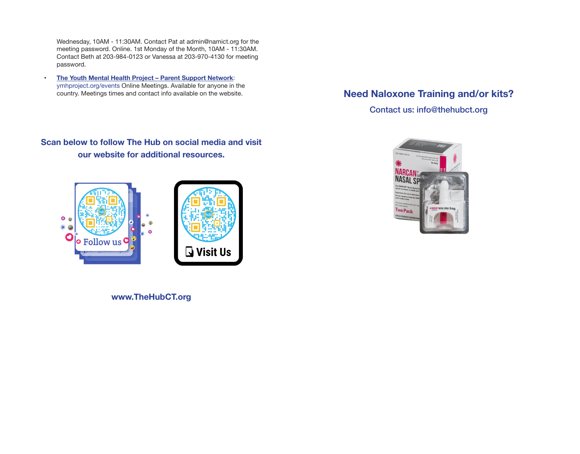Wednesday, 10AM - 11:30AM. Contact Pat at admin@namict.org for the meeting password. Online. 1st Monday of the Month, 10AM - 11:30AM. Contact Beth at 203-984-0123 or Vanessa at 203-970-4130 for meeting password.

• **[The Youth Mental Health Project – Parent Support Network](https://ymhproject.org/events/)**: ymhproject.org/events Online Meetings. Available for anyone in the country. Meetings times and contact info available on the website.

# **Need Naloxone Training and/or kits?**

Contact us: info@thehubct.org

# **Scan below to follow The Hub on social media and visit our website for additional resources.**



AN' NASAL SPRAY 4 mg

**www.TheHubCT.org**